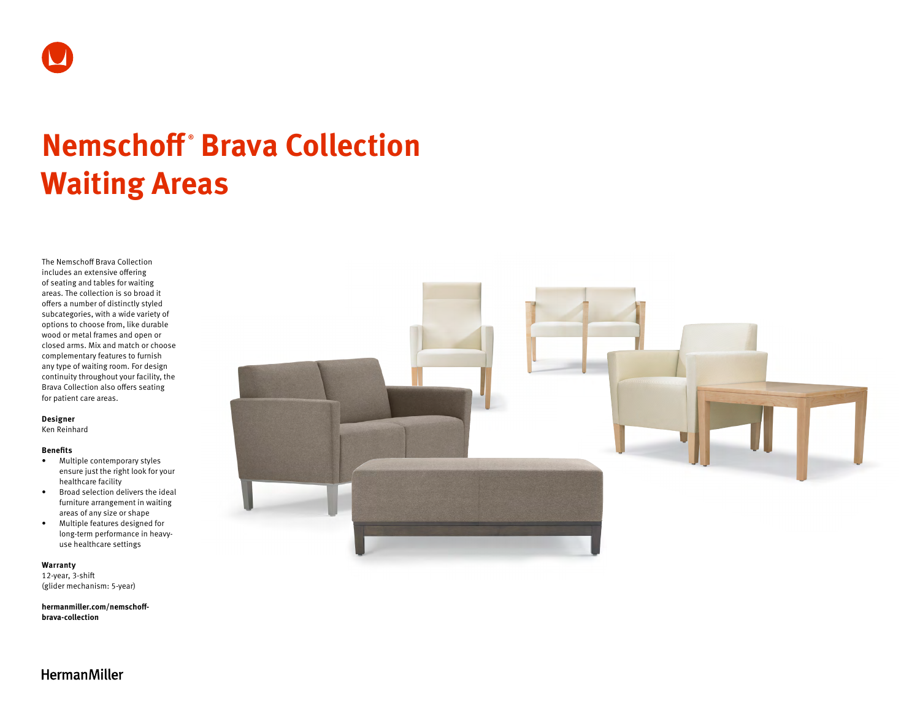

# **Nemschoff ® Brava Collection Waiting Areas**

The Nemschoff Brava Collection includes an extensive offering of seating and tables for waiting areas. The collection is so broad it offers a number of distinctly styled subcategories, with a wide variety of options to choose from, like durable wood or metal frames and open or closed arms. Mix and match or choose complementary features to furnish any type of waiting room. For design continuity throughout your facility, the Brava Collection also offers seating for patient care areas.

#### **Designer**

Ken Reinhard

#### **Benefits**

- Multiple contemporary styles ensure just the right look for your healthcare facility
- Broad selection delivers the ideal furniture arrangement in waiting areas of any size or shape
- Multiple features designed for long-term performance in heavyuse healthcare settings

#### **Warranty**

12-year, 3-shift (glider mechanism: 5-year)

**[hermanmiller.com/nemschoff](http://hermanmiller.com/nemschoff-brava-collection)[brava-collection](http://hermanmiller.com/nemschoff-brava-collection)**



# **HermanMiller**